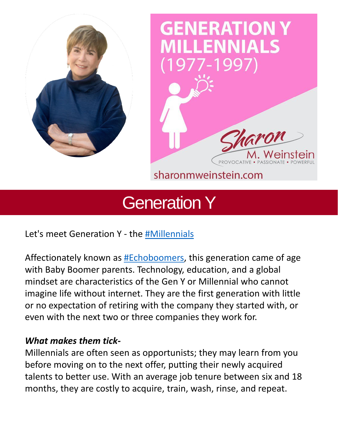

# **GENERATION Y ENNIALS** 1997



sharonmweinstein.com

## Generation Y

Let's meet Generation Y - the [#Millennials](https://www.linkedin.com/feed/hashtag/?keywords=millennials&highlightedUpdateUrns=urn%3Ali%3Aactivity%3A6932286105643884544)

Affectionately known as [#Echoboomers,](https://www.linkedin.com/feed/hashtag/?keywords=echoboomers&highlightedUpdateUrns=urn%3Ali%3Aactivity%3A6932286105643884544) this generation came of age with Baby Boomer parents. Technology, education, and a global mindset are characteristics of the Gen Y or Millennial who cannot imagine life without internet. They are the first generation with little or no expectation of retiring with the company they started with, or even with the next two or three companies they work for.

#### *What makes them tick-*

Millennials are often seen as opportunists; they may learn from you before moving on to the next offer, putting their newly acquired talents to better use. With an average job tenure between six and 18 months, they are costly to acquire, train, wash, rinse, and repeat.